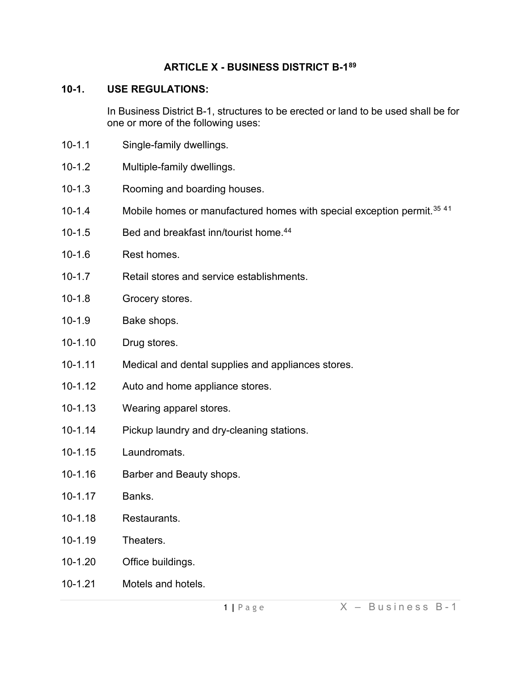### **ARTICLE X - BUSINESS DISTRICT B-1[89](#page-5-0)**

### **10-1. USE REGULATIONS:**

In Business District B-1, structures to be erected or land to be used shall be for one or more of the following uses:

- 10-1.1 Single-family dwellings.
- 10-1.2 Multiple-family dwellings.
- 10-1.3 Rooming and boarding houses.
- 10-1.4 Mobile homes or manufactured homes with special exception permit.<sup>[35](#page-5-1) 4[1](#page-5-2)</sup>
- 10-1.5 Bed and breakfast inn/tourist home.[44](#page-5-3)
- 10-1.6 Rest homes.
- 10-1.7 Retail stores and service establishments.
- 10-1.8 Grocery stores.
- 10-1.9 Bake shops.
- 10-1.10 Drug stores.
- 10-1.11 Medical and dental supplies and appliances stores.
- 10-1.12 Auto and home appliance stores.
- 10-1.13 Wearing apparel stores.
- 10-1.14 Pickup laundry and dry-cleaning stations.
- 10-1.15 Laundromats.
- 10-1.16 Barber and Beauty shops.
- 10-1.17 Banks.
- 10-1.18 Restaurants.
- 10-1.19 Theaters.
- 10-1.20 Office buildings.
- 10-1.21 Motels and hotels.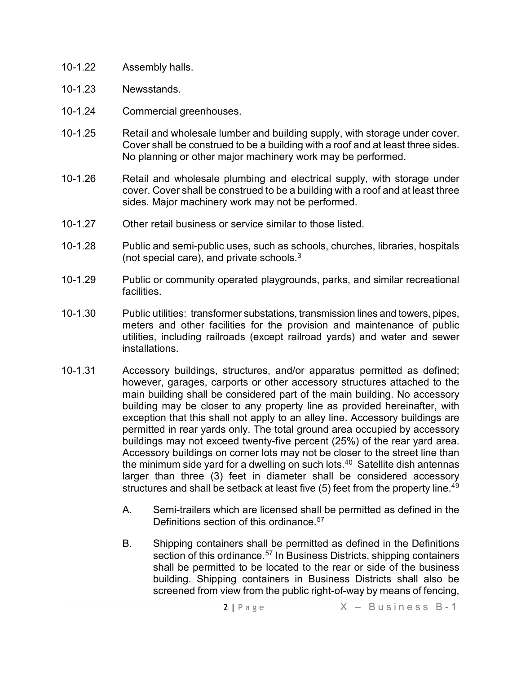- 10-1.22 Assembly halls.
- 10-1.23 Newsstands.
- 10-1.24 Commercial greenhouses.
- 10-1.25 Retail and wholesale lumber and building supply, with storage under cover. Cover shall be construed to be a building with a roof and at least three sides. No planning or other major machinery work may be performed.
- 10-1.26 Retail and wholesale plumbing and electrical supply, with storage under cover. Cover shall be construed to be a building with a roof and at least three sides. Major machinery work may not be performed.
- 10-1.27 Other retail business or service similar to those listed.
- 10-1.28 Public and semi-public uses, such as schools, churches, libraries, hospitals (not special care), and private schools. $3$
- 10-1.29 Public or community operated playgrounds, parks, and similar recreational facilities.
- 10-1.30 Public utilities: transformer substations, transmission lines and towers, pipes, meters and other facilities for the provision and maintenance of public utilities, including railroads (except railroad yards) and water and sewer installations.
- 10-1.31 Accessory buildings, structures, and/or apparatus permitted as defined; however, garages, carports or other accessory structures attached to the main building shall be considered part of the main building. No accessory building may be closer to any property line as provided hereinafter, with exception that this shall not apply to an alley line. Accessory buildings are permitted in rear yards only. The total ground area occupied by accessory buildings may not exceed twenty-five percent (25%) of the rear yard area. Accessory buildings on corner lots may not be closer to the street line than the minimum side yard for a dwelling on such lots. $40$  $40$  Satellite dish antennas larger than three (3) feet in diameter shall be considered accessory structures and shall be setback at least five (5) feet from the property line.<sup>[49](#page-5-6)</sup>
	- A. Semi-trailers which are licensed shall be permitted as defined in the Definitions section of this ordinance.<sup>[57](#page-5-7)</sup>
	- B. Shipping containers shall be permitted as defined in the Definitions section of this ordinance.<sup>[57](#page-5-8)</sup> In Business Districts, shipping containers shall be permitted to be located to the rear or side of the business building. Shipping containers in Business Districts shall also be screened from view from the public right-of-way by means of fencing,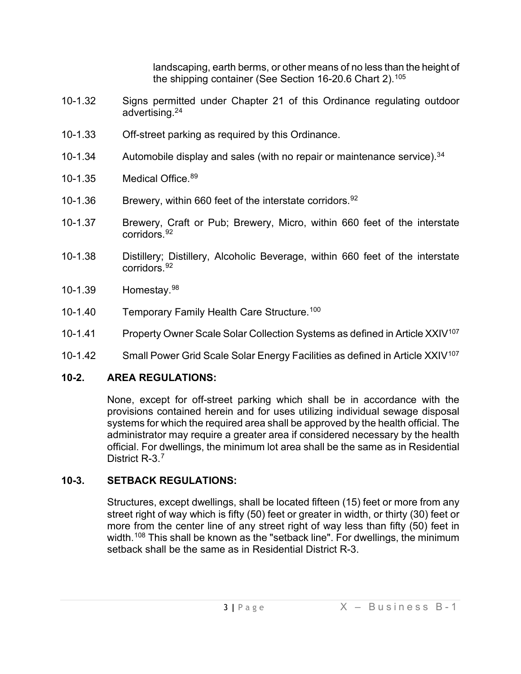landscaping, earth berms, or other means of no less than the height of the shipping container (See Section 16-20.6 Chart 2).[105](#page-5-9)

- 10-1.32 Signs permitted under Chapter 21 of this Ordinance regulating outdoor advertising.2[4](#page-5-10)
- 10-1.33 Off-street parking as required by this Ordinance.
- 10-1.3[4](#page-5-11) Automobile display and sales (with no repair or maintenance service).<sup>34</sup>
- 10-1.35 Medical Office. [89](#page-5-12)
- 10-1.36 Brewery, within 660 feet of the interstate corridors. [92](#page-5-13)
- 10-1.37 Brewery, Craft or Pub; Brewery, Micro, within 660 feet of the interstate corridors. [92](#page-5-14)
- 10-1.38 Distillery; Distillery, Alcoholic Beverage, within 660 feet of the interstate corridors. [92](#page-5-15)
- 10-1.39 Homestay.[98](#page-5-16)
- 10-1.40 Temporary Family Health Care Structure.<sup>[100](#page-5-17)</sup>
- 10-1.41 Property Owner Scale Solar Collection Systems as defined in Article XXIV<sup>[107](#page-5-18)</sup>
- 10-1.42 Small Power Grid Scale Solar Energy Facilities as defined in Article XXIV<sup>[107](#page-5-19)</sup>

## **10-2. AREA REGULATIONS:**

None, except for off-street parking which shall be in accordance with the provisions contained herein and for uses utilizing individual sewage disposal systems for which the required area shall be approved by the health official. The administrator may require a greater area if considered necessary by the health official. For dwellings, the minimum lot area shall be the same as in Residential District R-3.[7](#page-5-20)

# **10-3. SETBACK REGULATIONS:**

Structures, except dwellings, shall be located fifteen (15) feet or more from any street right of way which is fifty (50) feet or greater in width, or thirty (30) feet or more from the center line of any street right of way less than fifty (50) feet in width. [108](#page-5-21) This shall be known as the "setback line". For dwellings, the minimum setback shall be the same as in Residential District R-3.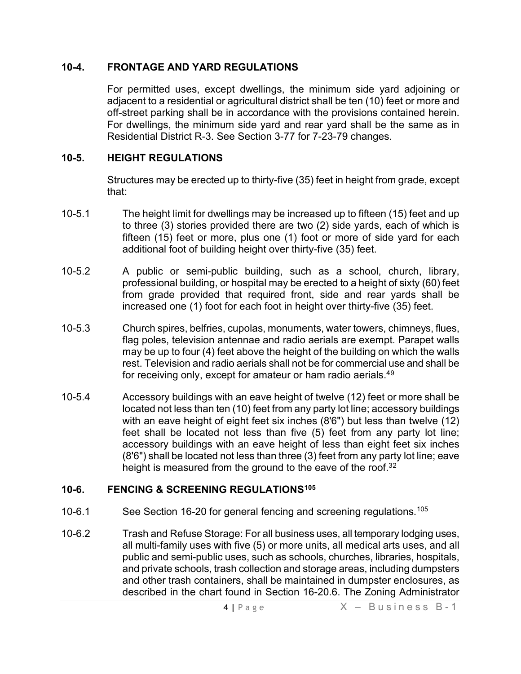### **10-4. FRONTAGE AND YARD REGULATIONS**

For permitted uses, except dwellings, the minimum side yard adjoining or adjacent to a residential or agricultural district shall be ten (10) feet or more and off-street parking shall be in accordance with the provisions contained herein. For dwellings, the minimum side yard and rear yard shall be the same as in Residential District R-3. See Section 3-77 for 7-23-79 changes.

## **10-5. HEIGHT REGULATIONS**

Structures may be erected up to thirty-five (35) feet in height from grade, except that:

- 10-5.1 The height limit for dwellings may be increased up to fifteen (15) feet and up to three (3) stories provided there are two (2) side yards, each of which is fifteen (15) feet or more, plus one (1) foot or more of side yard for each additional foot of building height over thirty-five (35) feet.
- 10-5.2 A public or semi-public building, such as a school, church, library, professional building, or hospital may be erected to a height of sixty (60) feet from grade provided that required front, side and rear yards shall be increased one (1) foot for each foot in height over thirty-five (35) feet.
- 10-5.3 Church spires, belfries, cupolas, monuments, water towers, chimneys, flues, flag poles, television antennae and radio aerials are exempt. Parapet walls may be up to four (4) feet above the height of the building on which the walls rest. Television and radio aerials shall not be for commercial use and shall be for receiving only, except for amateur or ham radio aerials.<sup>4[9](#page-5-22)</sup>
- 10-5.4 Accessory buildings with an eave height of twelve (12) feet or more shall be located not less than ten (10) feet from any party lot line; accessory buildings with an eave height of eight feet six inches (8'6") but less than twelve (12) feet shall be located not less than five (5) feet from any party lot line; accessory buildings with an eave height of less than eight feet six inches (8'6") shall be located not less than three (3) feet from any party lot line; eave height is measured from the ground to the eave of the roof.<sup>3[2](#page-5-23)</sup>

## **10-6. FENCING & SCREENING REGULATIONS[105](#page-5-24)**

- 10-6.1 See Section 16-20 for general fencing and screening regulations.<sup>[105](#page-5-25)</sup>
- 10-6.2 Trash and Refuse Storage: For all business uses, all temporary lodging uses, all multi-family uses with five (5) or more units, all medical arts uses, and all public and semi-public uses, such as schools, churches, libraries, hospitals, and private schools, trash collection and storage areas, including dumpsters and other trash containers, shall be maintained in dumpster enclosures, as described in the chart found in Section 16-20.6. The Zoning Administrator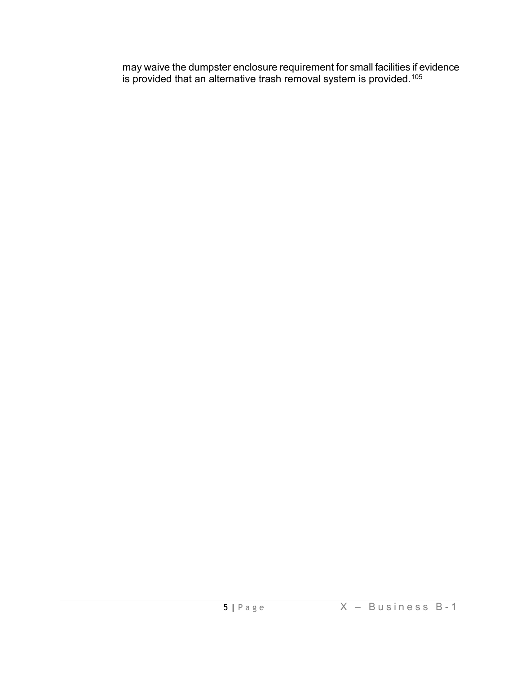may waive the dumpster enclosure requirement for small facilities if evidence is provided that an alternative trash removal system is provided. $^{105}\,$  $^{105}\,$  $^{105}\,$